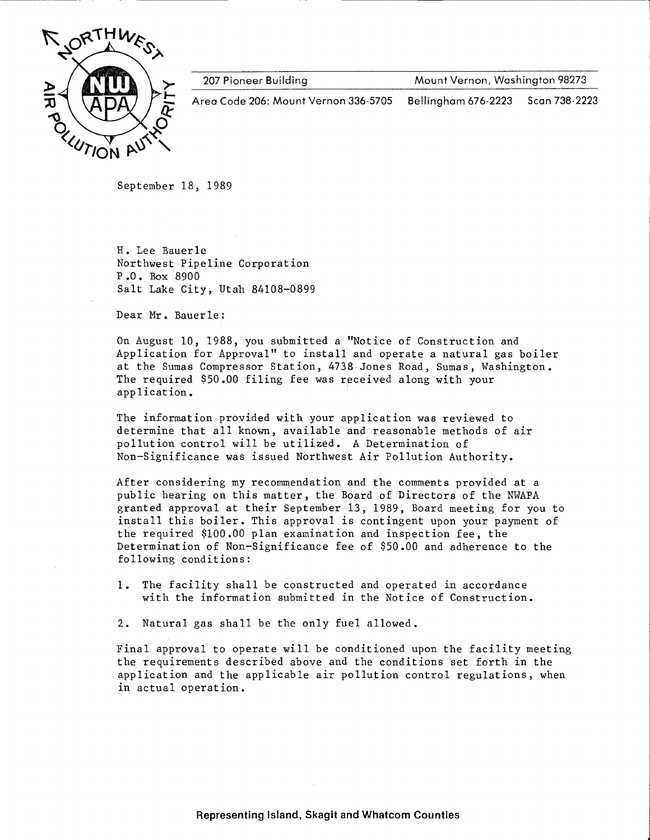

207 Pioneer Building

Mount Vernon, Washington 98273

Area Code 206: Mount Vernon 336-5705 Bellingham 676-2223 Scan 738-2223

September 18, 1989

H. Lee Bauerle Northwest Pipeline Corporation P.O. Box 8900 Salt Lake City, Utah 84108-0899

Dear Mr. Bauerle:

On August 10, 1988, you submitted a "Notice of Construction and Application for Approval" to install and operate a natural gas boiler at the Sumas Compressor Station, 4738 Jones Road, Sumas, Washington. The required \$50.00 filing fee was received along with your application.

The information provided with your application was reviewed to determine that all known, available and reasonable methods of air pollution control will be utilized. A Determination of Non-Significance was issued Northwest Air Pollution Authority.

After considering my recommendation and the comments provided at a public hearing on this matter, the Board of Directors of the NWAPA granted approval at their September 13, 1989, Board meeting for you to install this boiler. This approval is contingent upon your payment of the required \$100.00 plan examination and inspection fee, the Determination of Non-Significance fee of \$50.00 and adherence to the following conditions:

- The facility shall be constructed and operated in accordance 1. with the information submitted in the Notice of Construction.
- 2. Natural gas shall be the only fuel allowed.

Final approval to operate will be conditioned upon the facility meeting the requirements described above and the conditions set forth in the application and the applicable air pollution control regulations, when in actual operation.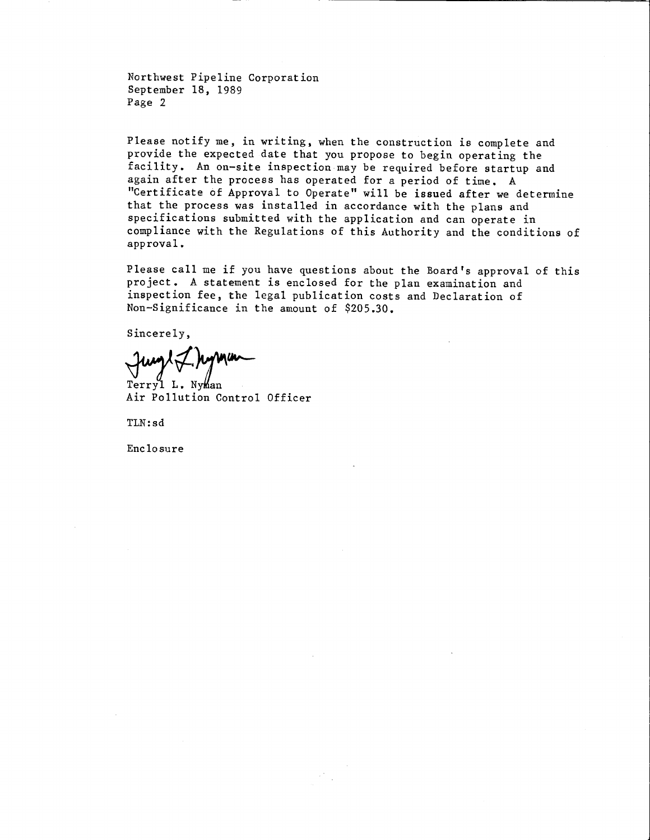Northwest Pipeline Corporation September 18, 1989 Page 2

Please notify me, in writing, when the construction is complete and provide the expected date that you propose to begin operating the facility. An on-site inspection may be required before startup and again after the process has operated for a period of time. A "Certificate of Approval to Operate" will be issued after we determine that the process was installed in accordance with the plans and specifications submitted with the application and can operate in compliance with the Regulations of this Authority and the conditions of approval.

Please call me if you have questions about the Board's approval of this project. A statement is enclosed for the plan examination and inspection fee, the legal publication costs and Declaration of Non-Significance in the amount of \$205.30.

Sincerely,

Terryl L. Nyman Air Pollution Control Officer

TLN:sd

Enclosure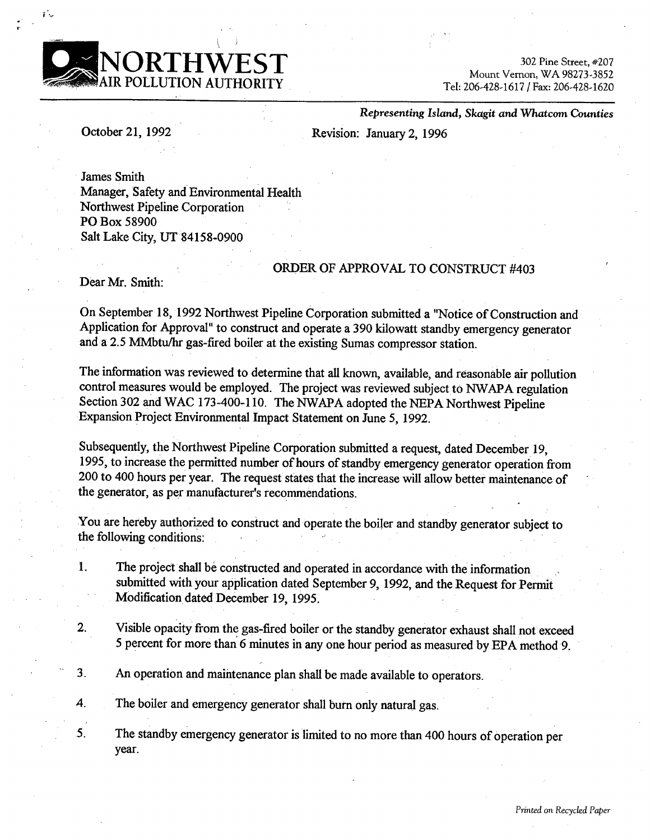

302 Pine Street, #207 Mount Vernon, WA 98273-3852 Tel: 206-428-1617 / Fax: 206-428-1620

October 21, 1992

Representing Island, Skagit and Whatcom Counties

Revision: January 2, 1996

**James Smith** Manager, Safety and Environmental Health Northwest Pipeline Corporation PO Box 58900 Salt Lake City, UT 84158-0900

## ORDER OF APPROVAL TO CONSTRUCT #403

Dear Mr. Smith:

On September 18, 1992 Northwest Pipeline Corporation submitted a "Notice of Construction and Application for Approval" to construct and operate a 390 kilowatt standby emergency generator and a 2.5 MMbtu/hr gas-fired boiler at the existing Sumas compressor station.

The information was reviewed to determine that all known, available, and reasonable air pollution control measures would be employed. The project was reviewed subject to NWAPA regulation Section 302 and WAC 173-400-110. The NWAPA adopted the NEPA Northwest Pipeline Expansion Project Environmental Impact Statement on June 5, 1992.

Subsequently, the Northwest Pipeline Corporation submitted a request, dated December 19, 1995, to increase the permitted number of hours of standby emergency generator operation from 200 to 400 hours per year. The request states that the increase will allow better maintenance of the generator, as per manufacturer's recommendations.

You are hereby authorized to construct and operate the boiler and standby generator subject to the following conditions:

- The project shall be constructed and operated in accordance with the information 1. submitted with your application dated September 9, 1992, and the Request for Permit Modification dated December 19, 1995.
- Visible opacity from the gas-fired boiler or the standby generator exhaust shall not exceed  $2.$ 5 percent for more than 6 minutes in any one hour period as measured by EPA method 9.
- $3<sub>1</sub>$ An operation and maintenance plan shall be made available to operators.

4. The boiler and emergency generator shall burn only natural gas.

 $5<sub>1</sub>$ The standby emergency generator is limited to no more than 400 hours of operation per year.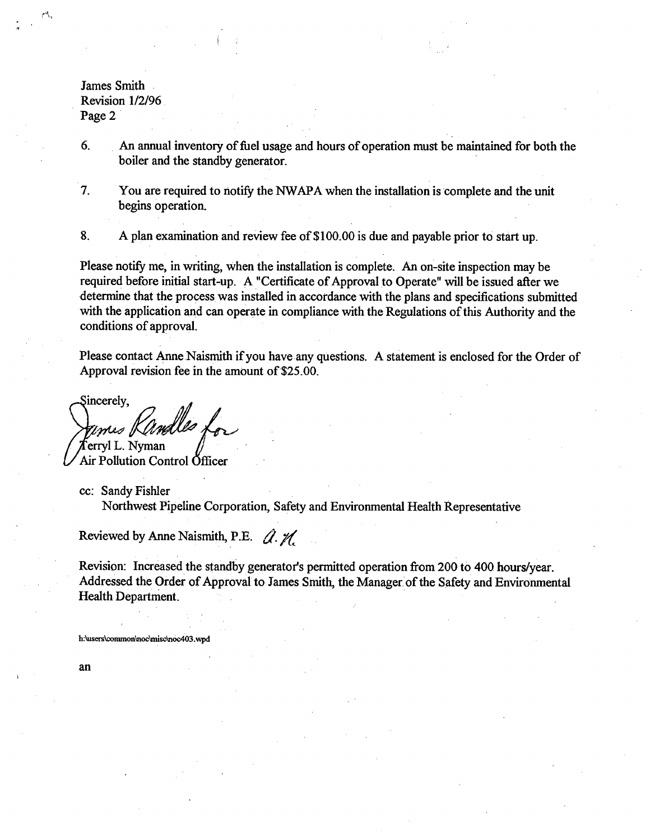**James Smith** Revision 1/2/96 Page 2

6. An annual inventory of fuel usage and hours of operation must be maintained for both the boiler and the standby generator.

 $7<sub>1</sub>$ You are required to notify the NWAPA when the installation is complete and the unit begins operation.

8. A plan examination and review fee of \$100.00 is due and payable prior to start up.

Please notify me, in writing, when the installation is complete. An on-site inspection may be required before initial start-up. A "Certificate of Approval to Operate" will be issued after we determine that the process was installed in accordance with the plans and specifications submitted with the application and can operate in compliance with the Regulations of this Authority and the conditions of approval.

Please contact Anne Naismith if you have any questions. A statement is enclosed for the Order of Approval revision fee in the amount of \$25.00.

Sincerely,

 $\mathbb{Z}$ Imas I ferryl L. Nyman

Air Pollution Control Öfficer

cc: Sandy Fishler Northwest Pipeline Corporation, Safety and Environmental Health Representative

Reviewed by Anne Naismith, P.E.  $\hat{Q}$ .  $\hat{M}$ 

Revision: Increased the standby generator's permitted operation from 200 to 400 hours/year. Addressed the Order of Approval to James Smith, the Manager of the Safety and Environmental **Health Department.** 

h:\users\common\noc\misc\noc403.wpo

an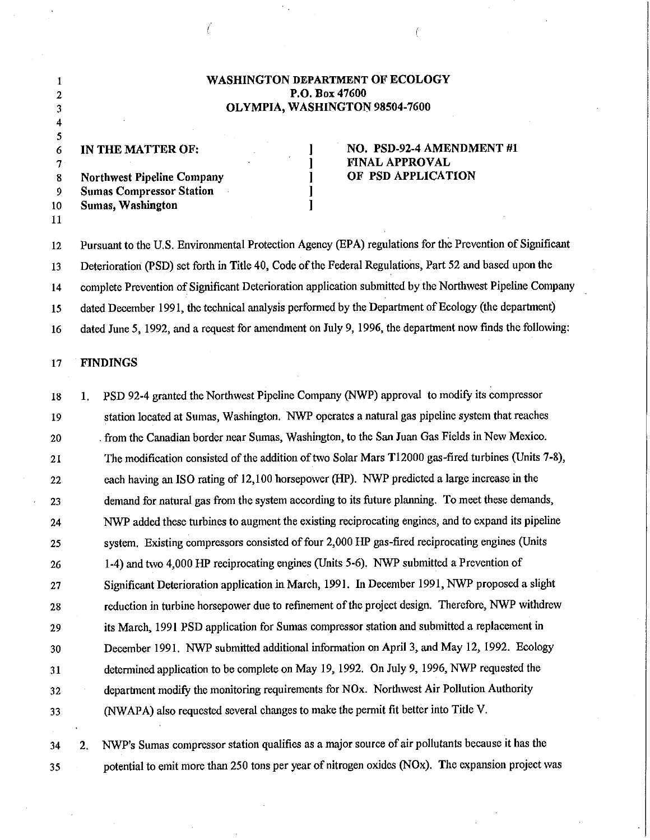## WASHINGTON DEPARTMENT OF ECOLOGY P.O. Box 47600 OLYMPIA, WASHINGTON 98504-7600

IN THE MATTER OF: 6  $\tau$ **Northwest Pipeline Company** 8 9 **Sumas Compressor Station** Sumas, Washington  $10$ 

## NO. PSD-92-4 AMENDMENT #1 FINAL APPROVAL OF PSD APPLICATION

Pursuant to the U.S. Environmental Protection Agency (EPA) regulations for the Prevention of Significant  $12$ Deterioration (PSD) set forth in Title 40, Code of the Federal Regulations, Part 52 and based upon the 13 complete Prevention of Significant Deterioration application submitted by the Northwest Pipeline Company  $14$ dated December 1991, the technical analysis performed by the Department of Ecology (the department) 15 dated June 5, 1992, and a request for amendment on July 9, 1996, the department now finds the following: 16

 $\mathbf{I}$ 

 $\mathbf{l}$  $\mathbf{l}$ 

#### 17 **FINDINGS**

 $\mathbf{1}$ 

 $\overline{c}$ 

3 4 5

11

PSD 92-4 granted the Northwest Pipeline Company (NWP) approval to modify its compressor  ${\bf 18}$  $1.$ station located at Sumas, Washington. NWP operates a natural gas pipeline system that reaches 19 from the Canadian border near Sumas, Washington, to the San Juan Gas Fields in New Mexico. 20 The modification consisted of the addition of two Solar Mars T12000 gas-fired turbines (Units 7-8), 21 each having an ISO rating of 12,100 horsepower (HP). NWP predicted a large increase in the  $22$ demand for natural gas from the system according to its future planning. To meet these demands, 23 NWP added these turbines to augment the existing reciprocating engines, and to expand its pipeline 24 system. Existing compressors consisted of four 2,000 HP gas-fired reciprocating engines (Units 25 1-4) and two 4,000 HP reciprocating engines (Units 5-6). NWP submitted a Prevention of 26 Significant Deterioration application in March, 1991. In December 1991, NWP proposed a slight 27 reduction in turbine horsepower due to refinement of the project design. Therefore, NWP withdrew 28 its March, 1991 PSD application for Sumas compressor station and submitted a replacement in 29 December 1991. NWP submitted additional information on April 3, and May 12, 1992. Ecology 30 determined application to be complete on May 19, 1992. On July 9, 1996, NWP requested the 31 department modify the monitoring requirements for NOx. Northwest Air Pollution Authority 32 (NWAPA) also requested several changes to make the permit fit better into Title V. 33

NWP's Sumas compressor station qualifies as a major source of air pollutants because it has the  $2.$ 34 potential to emit more than 250 tons per year of nitrogen oxides (NOx). The expansion project was 35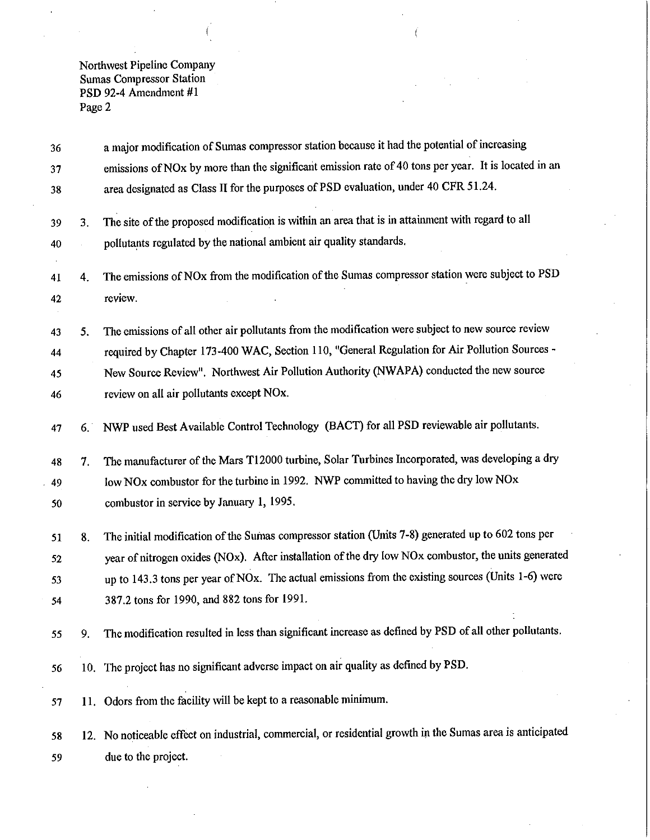| 36 |    | a major modification of Sumas compressor station because it had the potential of increasing                |
|----|----|------------------------------------------------------------------------------------------------------------|
| 37 |    | emissions of NOx by more than the significant emission rate of 40 tons per year. It is located in an       |
| 38 |    | area designated as Class II for the purposes of PSD evaluation, under 40 CFR 51.24.                        |
| 39 | 3. | The site of the proposed modification is within an area that is in attainment with regard to all           |
| 40 |    | pollutants regulated by the national ambient air quality standards.                                        |
| 41 | 4. | The emissions of NOx from the modification of the Sumas compressor station were subject to PSD             |
| 42 |    | review.                                                                                                    |
| 43 | 5. | The emissions of all other air pollutants from the modification were subject to new source review          |
| 44 |    | required by Chapter 173-400 WAC, Section 110, "General Regulation for Air Pollution Sources -              |
| 45 |    | New Source Review". Northwest Air Pollution Authority (NWAPA) conducted the new source                     |
| 46 |    | review on all air pollutants except NOx.                                                                   |
| 47 | 6. | NWP used Best Available Control Technology (BACT) for all PSD reviewable air pollutants.                   |
| 48 | 7. | The manufacturer of the Mars T12000 turbine, Solar Turbines Incorporated, was developing a dry             |
| 49 |    | low NOx combustor for the turbine in 1992. NWP committed to having the dry low NOx                         |
| 50 |    | combustor in service by January 1, 1995.                                                                   |
| 51 | 8. | The initial modification of the Sumas compressor station (Umits 7-8) generated up to 602 tons per          |
| 52 |    | year of nitrogen oxides (NOx). After installation of the dry low NOx combustor, the units generated        |
| 53 |    | up to 143.3 tons per year of NOx. The actual emissions from the existing sources (Units 1-6) were          |
| 54 |    | 387.2 tons for 1990, and 882 tons for 1991.                                                                |
| 55 | 9. | The modification resulted in less than significant increase as defined by PSD of all other pollutants.     |
| 56 |    | 10. The project has no significant adverse impact on air quality as defined by PSD.                        |
| 57 |    | 11. Odors from the facility will be kept to a reasonable minimum.                                          |
| 58 |    | 12. No noticeable effect on industrial, commercial, or residential growth in the Sumas area is anticipated |
| 59 |    | due to the project.                                                                                        |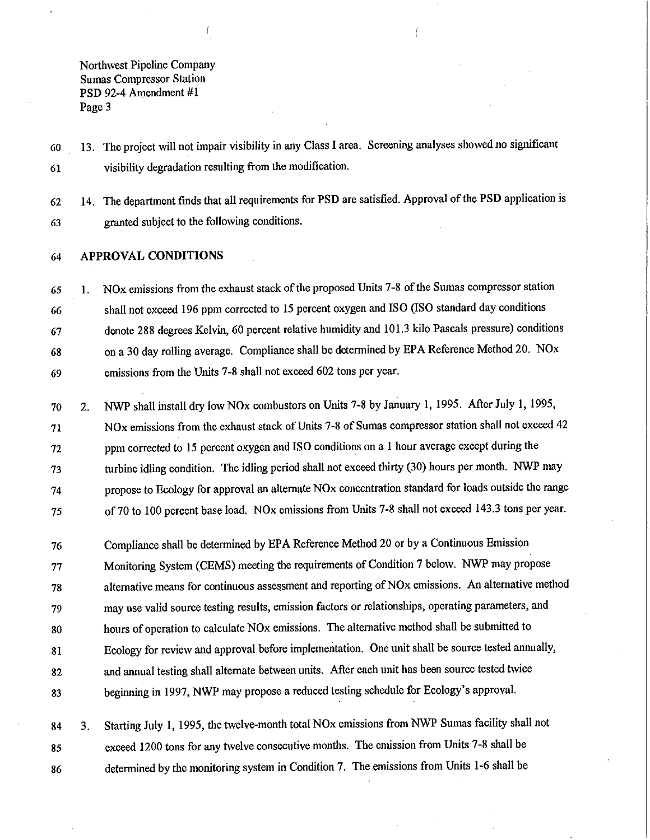13. The project will not impair visibility in any Class I area. Screening analyses showed no significant 60 visibility degradation resulting from the modification. 61

14. The department finds that all requirements for PSD are satisfied. Approval of the PSD application is 62 granted subject to the following conditions. 63

#### **APPROVAL CONDITIONS** 64

NOx emissions from the exhaust stack of the proposed Units 7-8 of the Sumas compressor station 65  $\mathbf{1}$ . shall not exceed 196 ppm corrected to 15 percent oxygen and ISO (ISO standard day conditions 66 denote 288 degrees Kelvin, 60 percent relative humidity and 101.3 kilo Pascals pressure) conditions 67 on a 30 day rolling average. Compliance shall be determined by EPA Reference Method 20. NOx 68 emissions from the Units 7-8 shall not exceed 602 tons per year. 69

NWP shall install dry low NOx combustors on Units 7-8 by January 1, 1995. After July 1, 1995, 70  $2.$ NOx emissions from the exhaust stack of Units 7-8 of Sumas compressor station shall not exceed 42 71 ppm corrected to 15 percent oxygen and ISO conditions on a 1 hour average except during the 72 turbine idling condition. The idling period shall not exceed thirty (30) hours per month. NWP may 73 propose to Ecology for approval an alternate NO<sub>x</sub> concentration standard for loads outside the range 74 of 70 to 100 percent base load. NOx emissions from Units 7-8 shall not exceed 143.3 tons per year. 75

Compliance shall be determined by EPA Reference Method 20 or by a Continuous Emission 76 Monitoring System (CEMS) meeting the requirements of Condition 7 below. NWP may propose 77 alternative means for continuous assessment and reporting of NOx emissions. An alternative method 78 may use valid source testing results, emission factors or relationships, operating parameters, and 79 hours of operation to calculate NO<sub>x</sub> emissions. The alternative method shall be submitted to 80 Ecology for review and approval before implementation. One unit shall be source tested annually, 81 and annual testing shall alternate between units. After each unit has been source tested twice 82 beginning in 1997, NWP may propose a reduced testing schedule for Ecology's approval. 83

Starting July 1, 1995, the twelve-month total NOx emissions from NWP Sumas facility shall not 84  $3<sub>1</sub>$ exceed 1200 tons for any twelve consecutive months. The emission from Units 7-8 shall be 85 determined by the monitoring system in Condition 7. The emissions from Units 1-6 shall be 86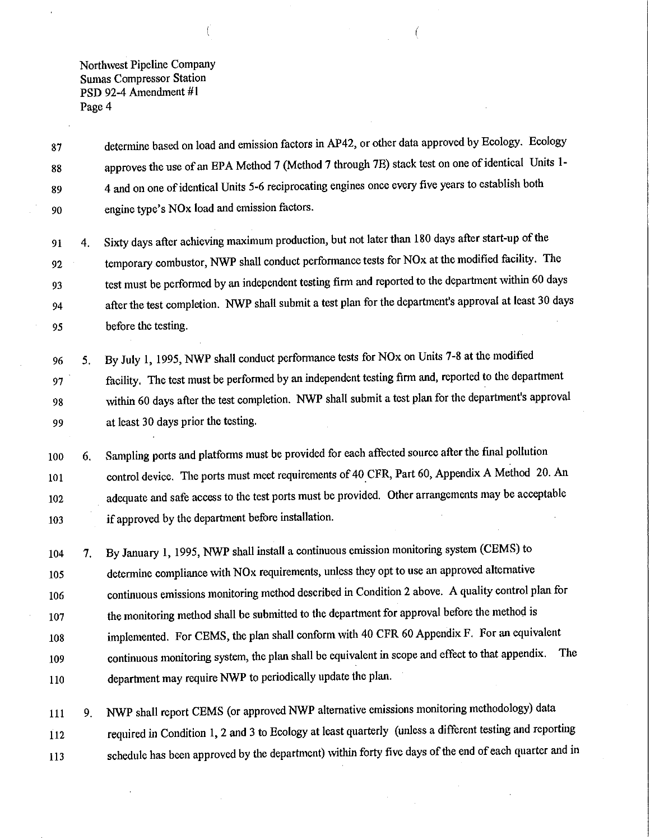determine based on load and emission factors in AP42, or other data approved by Ecology. Ecology 87 approves the use of an EPA Method 7 (Method 7 through 7E) stack test on one of identical Units 1-88 4 and on one of identical Units 5-6 reciprocating engines once every five years to establish both 89 engine type's NO<sub>x</sub> load and emission factors. 90

Sixty days after achieving maximum production, but not later than 180 days after start-up of the 91  $\overline{4}$ . temporary combustor, NWP shall conduct performance tests for NOx at the modified facility. The 92 test must be performed by an independent testing firm and reported to the department within 60 days 93 after the test completion. NWP shall submit a test plan for the department's approval at least 30 days 94 95 before the testing.

By July 1, 1995, NWP shall conduct performance tests for NO<sub>x</sub> on Units 7-8 at the modified 96 5. facility. The test must be performed by an independent testing firm and, reported to the department 97 within 60 days after the test completion. NWP shall submit a test plan for the department's approval 98 at least 30 days prior the testing. 99

Sampling ports and platforms must be provided for each affected source after the final pollution 100 6. control device. The ports must meet requirements of 40 CFR, Part 60, Appendix A Method 20. An 101 adequate and safe access to the test ports must be provided. Other arrangements may be acceptable 102 if approved by the department before installation. 103

By January 1, 1995, NWP shall install a continuous emission monitoring system (CEMS) to 104  $7.$ determine compliance with NO<sub>x</sub> requirements, unless they opt to use an approved alternative 105 continuous emissions monitoring method described in Condition 2 above. A quality control plan for 106 the monitoring method shall be submitted to the department for approval before the method is 107 implemented. For CEMS, the plan shall conform with 40 CFR 60 Appendix F. For an equivalent 108 continuous monitoring system, the plan shall be equivalent in scope and effect to that appendix. The 109 department may require NWP to periodically update the plan. 110

NWP shall report CEMS (or approved NWP alternative emissions monitoring methodology) data 111 9. required in Condition 1, 2 and 3 to Ecology at least quarterly (unless a different testing and reporting 112 schedule has been approved by the department) within forty five days of the end of each quarter and in 113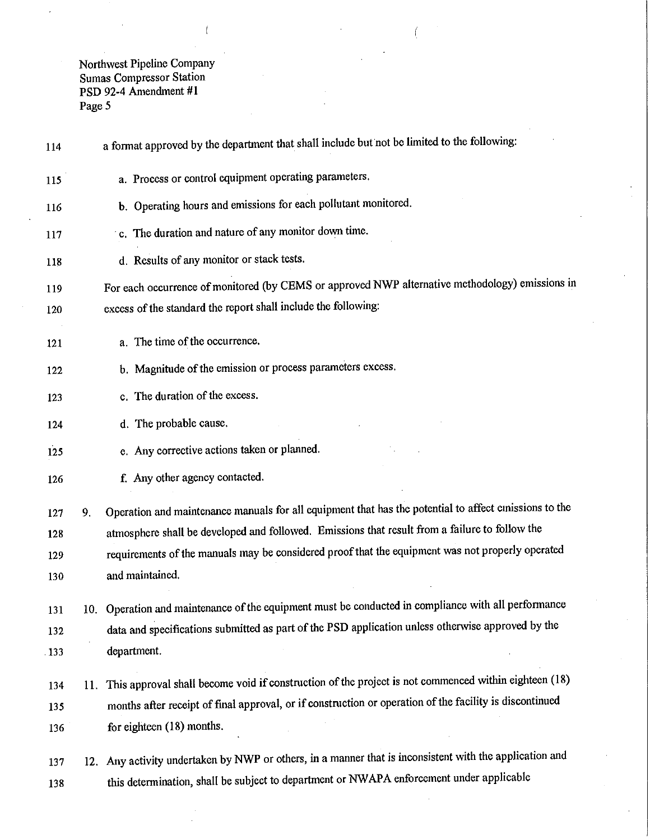a format approved by the department that shall include but not be limited to the following: 114 a. Process or control equipment operating parameters. 115 b. Operating hours and emissions for each pollutant monitored. 116 c. The duration and nature of any monitor down time. 117 d. Results of any monitor or stack tests. 118 For each occurrence of monitored (by CEMS or approved NWP alternative methodology) emissions in 119 excess of the standard the report shall include the following: 120 a. The time of the occurrence. 121 b. Magnitude of the emission or process parameters excess. 122 c. The duration of the excess. 123 d. The probable cause. 124 e. Any corrective actions taken or planned.  $125$ f. Any other agency contacted. 126 Operation and maintenance manuals for all equipment that has the potential to affect emissions to the 127 9. atmosphere shall be developed and followed. Emissions that result from a failure to follow the 128 requirements of the manuals may be considered proof that the equipment was not properly operated 129 and maintained. 130 10. Operation and maintenance of the equipment must be conducted in compliance with all performance 131 data and specifications submitted as part of the PSD application unless otherwise approved by the 132 department. 133 11. This approval shall become void if construction of the project is not commenced within eighteen (18) 134 months after receipt of final approval, or if construction or operation of the facility is discontinued 135 for eighteen (18) months. 136 12. Any activity undertaken by NWP or others, in a manner that is inconsistent with the application and 137 this determination, shall be subject to department or NWAPA enforcement under applicable 138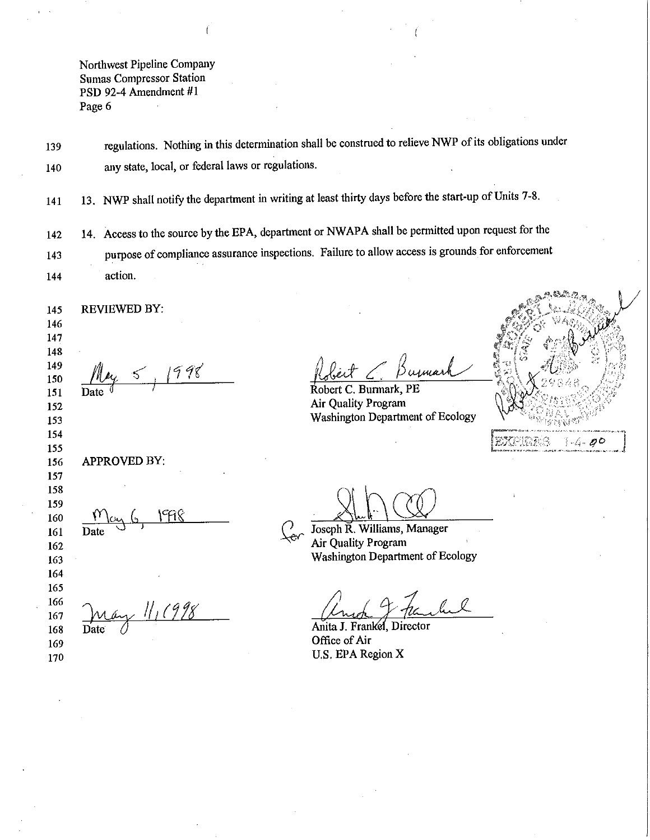regulations. Nothing in this determination shall be construed to relieve NWP of its obligations under 139 any state, local, or federal laws or regulations. 140

13. NWP shall notify the department in writing at least thirty days before the start-up of Units 7-8. 141

14. Access to the source by the EPA, department or NWAPA shall be permitted upon request for the 142 purpose of compliance assurance inspections. Failure to allow access is grounds for enforcement 143 action. 144

**REVIEWED BY:** 145 146 147 148

y 5, 1998

149

150

151

170

imari

Robert C. Burmark, PE Air Quality Program Washington Department of Ecology



Joseph R. Williams, Manager <u>୍</u>ଚ Air Quality Program Washington Department of Ecology

Anita J. Frankel, Director Office of Air U.S. EPA Region X

152 153 154 155 APPROVED BY: 156 157 158 159 ነዋበየ 160 161 162 163 164 165 may 11, 1998 166 167 168 169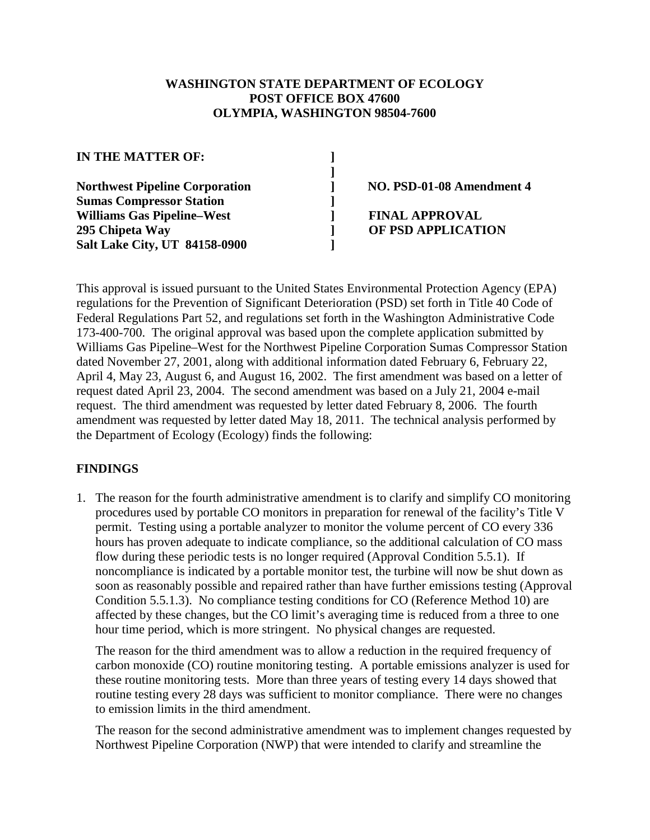# **WASHINGTON STATE DEPARTMENT OF ECOLOGY POST OFFICE BOX 47600 OLYMPIA, WASHINGTON 98504-7600**

**]**

**IN THE MATTER OF: ]**

**Northwest Pipeline Corporation ] NO. PSD-01-08 Amendment 4 Sumas Compressor Station ] Williams Gas Pipeline–West ] FINAL APPROVAL 295 Chipeta Way ] OF PSD APPLICATION Salt Lake City, UT 84158-0900 ]**

This approval is issued pursuant to the United States Environmental Protection Agency (EPA) regulations for the Prevention of Significant Deterioration (PSD) set forth in Title 40 Code of Federal Regulations Part 52, and regulations set forth in the Washington Administrative Code 173-400-700. The original approval was based upon the complete application submitted by Williams Gas Pipeline–West for the Northwest Pipeline Corporation Sumas Compressor Station dated November 27, 2001, along with additional information dated February 6, February 22, April 4, May 23, August 6, and August 16, 2002. The first amendment was based on a letter of request dated April 23, 2004. The second amendment was based on a July 21, 2004 e-mail request. The third amendment was requested by letter dated February 8, 2006. The fourth amendment was requested by letter dated May 18, 2011. The technical analysis performed by the Department of Ecology (Ecology) finds the following:

# **FINDINGS**

1. The reason for the fourth administrative amendment is to clarify and simplify CO monitoring procedures used by portable CO monitors in preparation for renewal of the facility's Title V permit. Testing using a portable analyzer to monitor the volume percent of CO every 336 hours has proven adequate to indicate compliance, so the additional calculation of CO mass flow during these periodic tests is no longer required (Approval Condition 5.5.1). If noncompliance is indicated by a portable monitor test, the turbine will now be shut down as soon as reasonably possible and repaired rather than have further emissions testing (Approval Condition 5.5.1.3). No compliance testing conditions for CO (Reference Method 10) are affected by these changes, but the CO limit's averaging time is reduced from a three to one hour time period, which is more stringent. No physical changes are requested.

The reason for the third amendment was to allow a reduction in the required frequency of carbon monoxide (CO) routine monitoring testing. A portable emissions analyzer is used for these routine monitoring tests. More than three years of testing every 14 days showed that routine testing every 28 days was sufficient to monitor compliance. There were no changes to emission limits in the third amendment.

The reason for the second administrative amendment was to implement changes requested by Northwest Pipeline Corporation (NWP) that were intended to clarify and streamline the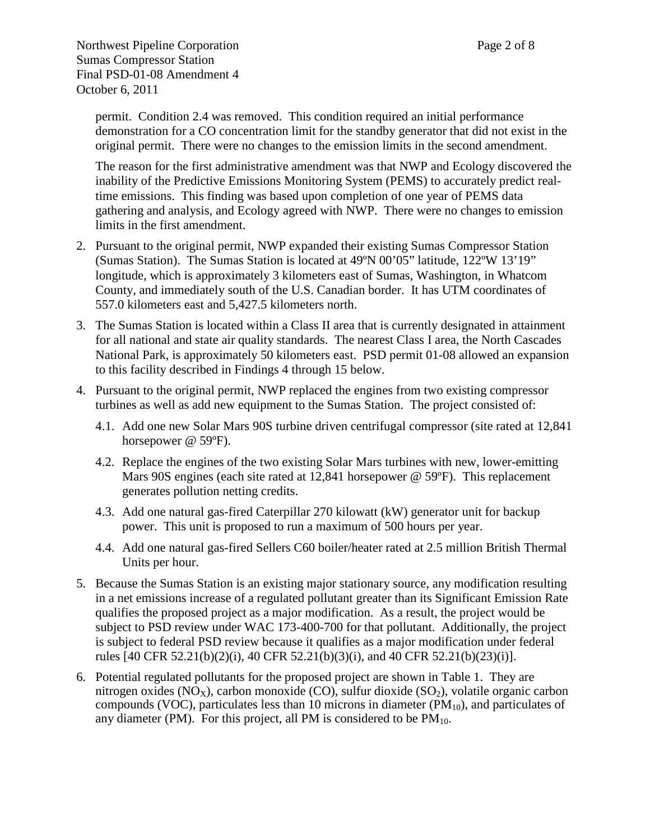Northwest Pipeline Corporation Page 2 of 8 Sumas Compressor Station Final PSD-01-08 Amendment 4 October 6, 2011

permit. Condition 2.4 was removed. This condition required an initial performance demonstration for a CO concentration limit for the standby generator that did not exist in the original permit. There were no changes to the emission limits in the second amendment.

The reason for the first administrative amendment was that NWP and Ecology discovered the inability of the Predictive Emissions Monitoring System (PEMS) to accurately predict realtime emissions. This finding was based upon completion of one year of PEMS data gathering and analysis, and Ecology agreed with NWP. There were no changes to emission limits in the first amendment.

- 2. Pursuant to the original permit, NWP expanded their existing Sumas Compressor Station (Sumas Station). The Sumas Station is located at 49ºN 00'05" latitude, 122ºW 13'19" longitude, which is approximately 3 kilometers east of Sumas, Washington, in Whatcom County, and immediately south of the U.S. Canadian border. It has UTM coordinates of 557.0 kilometers east and 5,427.5 kilometers north.
- 3. The Sumas Station is located within a Class II area that is currently designated in attainment for all national and state air quality standards. The nearest Class I area, the North Cascades National Park, is approximately 50 kilometers east. PSD permit 01-08 allowed an expansion to this facility described in Findings 4 through 15 below.
- 4. Pursuant to the original permit, NWP replaced the engines from two existing compressor turbines as well as add new equipment to the Sumas Station. The project consisted of:
	- 4.1. Add one new Solar Mars 90S turbine driven centrifugal compressor (site rated at 12,841 horsepower @ 59ºF).
	- 4.2. Replace the engines of the two existing Solar Mars turbines with new, lower-emitting Mars 90S engines (each site rated at 12,841 horsepower @ 59°F). This replacement generates pollution netting credits.
	- 4.3. Add one natural gas-fired Caterpillar 270 kilowatt (kW) generator unit for backup power. This unit is proposed to run a maximum of 500 hours per year.
	- 4.4. Add one natural gas-fired Sellers C60 boiler/heater rated at 2.5 million British Thermal Units per hour.
- 5. Because the Sumas Station is an existing major stationary source, any modification resulting in a net emissions increase of a regulated pollutant greater than its Significant Emission Rate qualifies the proposed project as a major modification. As a result, the project would be subject to PSD review under WAC 173-400-700 for that pollutant. Additionally, the project is subject to federal PSD review because it qualifies as a major modification under federal rules [40 CFR 52.21(b)(2)(i), 40 CFR 52.21(b)(3)(i), and 40 CFR 52.21(b)(23)(i)].
- 6. Potential regulated pollutants for the proposed project are shown in Table 1. They are nitrogen oxides ( $NO_x$ ), carbon monoxide (CO), sulfur dioxide ( $SO_2$ ), volatile organic carbon compounds (VOC), particulates less than 10 microns in diameter  $(PM_{10})$ , and particulates of any diameter (PM). For this project, all PM is considered to be  $PM_{10}$ .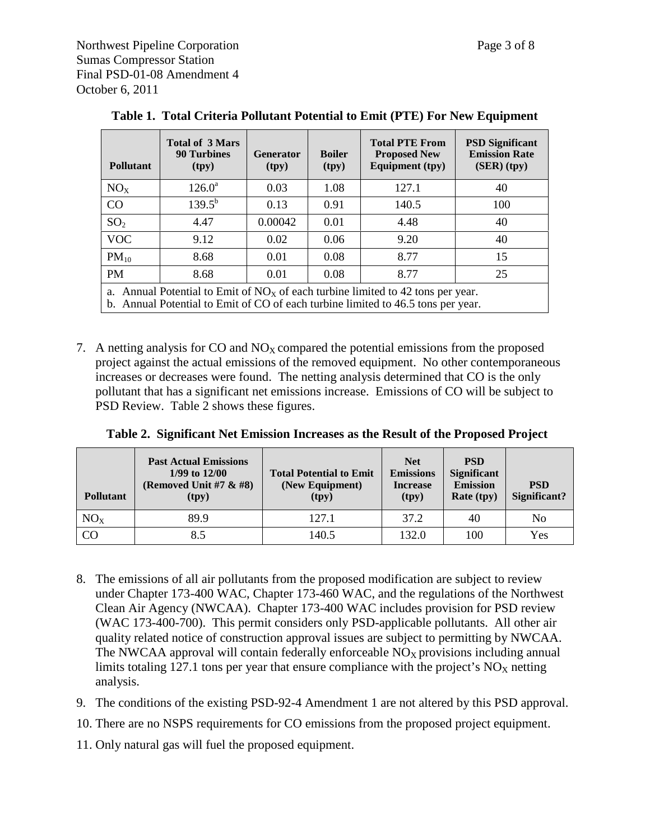| <b>Pollutant</b>                                                                  | <b>Total of 3 Mars</b><br><b>90 Turbines</b><br>(tpy) | <b>Generator</b><br>(tpy) | <b>Boiler</b><br>(tpy) | <b>Total PTE From</b><br><b>Proposed New</b><br><b>Equipment</b> (tpy) | <b>PSD Significant</b><br><b>Emission Rate</b><br>(SER)(typ) |
|-----------------------------------------------------------------------------------|-------------------------------------------------------|---------------------------|------------------------|------------------------------------------------------------------------|--------------------------------------------------------------|
| NO <sub>x</sub>                                                                   | $126.0^{\circ}$                                       | 0.03                      | 1.08                   | 127.1                                                                  | 40                                                           |
| CO                                                                                | $139.5^{b}$                                           | 0.13                      | 0.91                   | 140.5                                                                  | 100                                                          |
| SO <sub>2</sub>                                                                   | 4.47                                                  | 0.00042                   | 0.01                   | 4.48                                                                   | 40                                                           |
| <b>VOC</b>                                                                        | 9.12                                                  | 0.02                      | 0.06                   | 9.20                                                                   | 40                                                           |
| $PM_{10}$                                                                         | 8.68                                                  | 0.01                      | 0.08                   | 8.77                                                                   | 15                                                           |
| <b>PM</b>                                                                         | 8.68                                                  | 0.01                      | 0.08                   | 8.77                                                                   | 25                                                           |
| a. Annual Potential to Emit of $NOx$ of each turbine limited to 42 tons per year. |                                                       |                           |                        |                                                                        |                                                              |

**Table 1. Total Criteria Pollutant Potential to Emit (PTE) For New Equipment**

b. Annual Potential to Emit of CO of each turbine limited to 46.5 tons per year.

7. A netting analysis for CO and  $NO<sub>X</sub>$  compared the potential emissions from the proposed project against the actual emissions of the removed equipment. No other contemporaneous increases or decreases were found. The netting analysis determined that CO is the only pollutant that has a significant net emissions increase. Emissions of CO will be subject to PSD Review. Table 2 shows these figures.

|  |  |  | Table 2. Significant Net Emission Increases as the Result of the Proposed Project |  |
|--|--|--|-----------------------------------------------------------------------------------|--|
|--|--|--|-----------------------------------------------------------------------------------|--|

| <b>Pollutant</b> | <b>Past Actual Emissions</b><br>$1/99$ to $12/00$<br>(Removed Unit #7 $\&$ #8)<br>(tpy) | <b>Total Potential to Emit</b><br>(New Equipment)<br>(tpy) | <b>Net</b><br><b>Emissions</b><br><b>Increase</b><br>(tpy) | <b>PSD</b><br><b>Significant</b><br><b>Emission</b><br><b>Rate</b> (tpy) | <b>PSD</b><br>Significant? |
|------------------|-----------------------------------------------------------------------------------------|------------------------------------------------------------|------------------------------------------------------------|--------------------------------------------------------------------------|----------------------------|
| NO <sub>x</sub>  | 89.9                                                                                    | 127.1                                                      | 37.2                                                       | 40                                                                       | No                         |
| CO               | 8.5                                                                                     | 140.5                                                      | 132.0                                                      | 100                                                                      | Yes                        |

- 8. The emissions of all air pollutants from the proposed modification are subject to review under Chapter 173-400 WAC, Chapter 173-460 WAC, and the regulations of the Northwest Clean Air Agency (NWCAA). Chapter 173-400 WAC includes provision for PSD review (WAC 173-400-700). This permit considers only PSD-applicable pollutants. All other air quality related notice of construction approval issues are subject to permitting by NWCAA. The NWCAA approval will contain federally enforceable  $NO<sub>X</sub>$  provisions including annual limits totaling 127.1 tons per year that ensure compliance with the project's  $NO<sub>x</sub>$  netting analysis.
- 9. The conditions of the existing PSD-92-4 Amendment 1 are not altered by this PSD approval.

10. There are no NSPS requirements for CO emissions from the proposed project equipment.

11. Only natural gas will fuel the proposed equipment.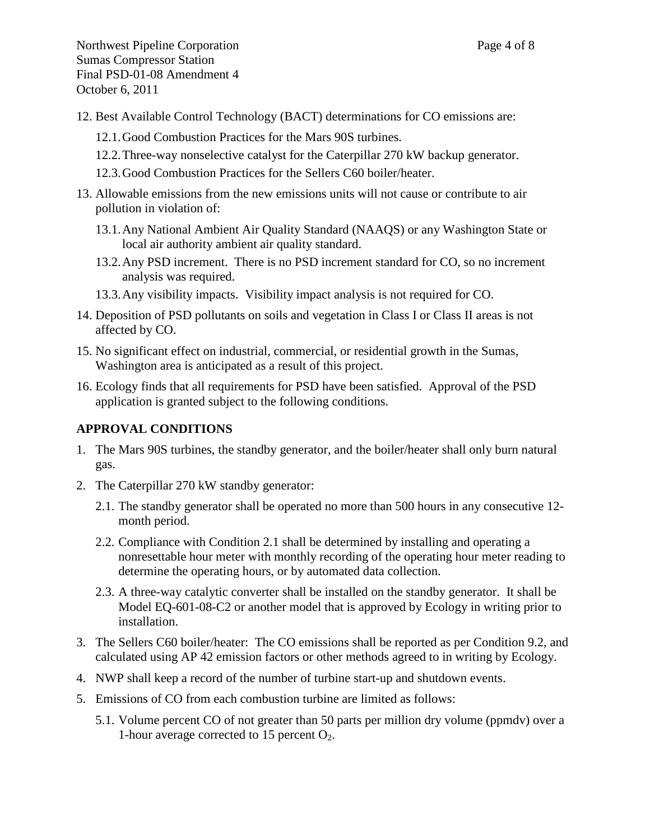- 12. Best Available Control Technology (BACT) determinations for CO emissions are:
	- 12.1.Good Combustion Practices for the Mars 90S turbines.
	- 12.2.Three-way nonselective catalyst for the Caterpillar 270 kW backup generator.
	- 12.3.Good Combustion Practices for the Sellers C60 boiler/heater.
- 13. Allowable emissions from the new emissions units will not cause or contribute to air pollution in violation of:
	- 13.1.Any National Ambient Air Quality Standard (NAAQS) or any Washington State or local air authority ambient air quality standard.
	- 13.2.Any PSD increment. There is no PSD increment standard for CO, so no increment analysis was required.
	- 13.3.Any visibility impacts. Visibility impact analysis is not required for CO.
- 14. Deposition of PSD pollutants on soils and vegetation in Class I or Class II areas is not affected by CO.
- 15. No significant effect on industrial, commercial, or residential growth in the Sumas, Washington area is anticipated as a result of this project.
- 16. Ecology finds that all requirements for PSD have been satisfied. Approval of the PSD application is granted subject to the following conditions.

# **APPROVAL CONDITIONS**

- 1. The Mars 90S turbines, the standby generator, and the boiler/heater shall only burn natural gas.
- <span id="page-13-0"></span>2. The Caterpillar 270 kW standby generator:
	- 2.1. The standby generator shall be operated no more than 500 hours in any consecutive 12 month period.
	- 2.2. Compliance with Condition [2.1](#page-13-0) shall be determined by installing and operating a nonresettable hour meter with monthly recording of the operating hour meter reading to determine the operating hours, or by automated data collection.
	- 2.3. A three-way catalytic converter shall be installed on the standby generator. It shall be Model EQ-601-08-C2 or another model that is approved by Ecology in writing prior to installation.
- 3. The Sellers C60 boiler/heater: The CO emissions shall be reported as per Condition [9.2,](#page-16-0) and calculated using AP 42 emission factors or other methods agreed to in writing by Ecology.
- 4. NWP shall keep a record of the number of turbine start-up and shutdown events.
- <span id="page-13-1"></span>5. Emissions of CO from each combustion turbine are limited as follows:
	- 5.1. Volume percent CO of not greater than 50 parts per million dry volume (ppmdv) over a 1-hour average corrected to 15 percent  $O_2$ .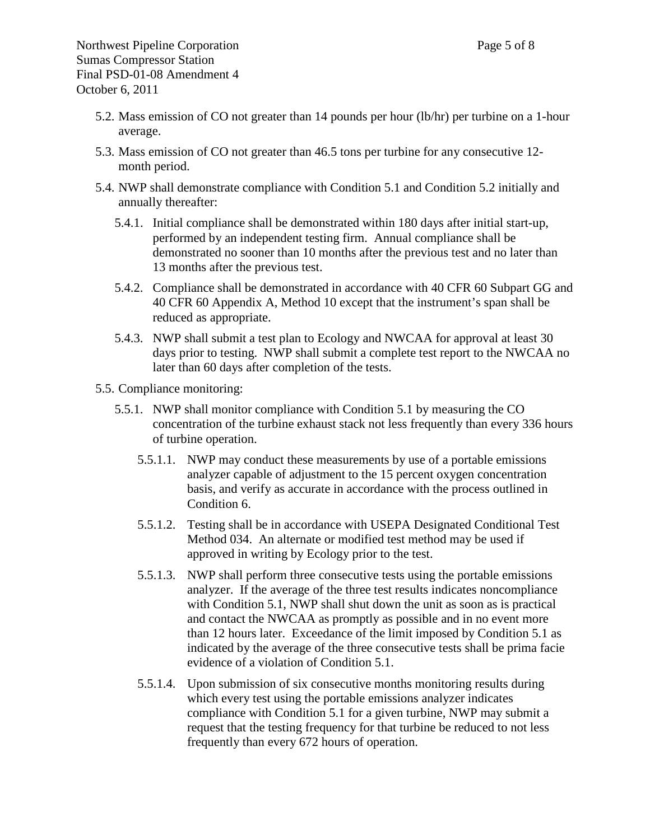- <span id="page-14-0"></span>5.2. Mass emission of CO not greater than 14 pounds per hour (lb/hr) per turbine on a 1-hour average.
- <span id="page-14-1"></span>5.3. Mass emission of CO not greater than 46.5 tons per turbine for any consecutive 12 month period.
- 5.4. NWP shall demonstrate compliance with Condition [5.1](#page-13-1) and Condition [5.2](#page-14-0) initially and annually thereafter:
	- 5.4.1. Initial compliance shall be demonstrated within 180 days after initial start-up, performed by an independent testing firm. Annual compliance shall be demonstrated no sooner than 10 months after the previous test and no later than 13 months after the previous test.
	- 5.4.2. Compliance shall be demonstrated in accordance with 40 CFR 60 Subpart GG and 40 CFR 60 Appendix A, Method 10 except that the instrument's span shall be reduced as appropriate.
	- 5.4.3. NWP shall submit a test plan to Ecology and NWCAA for approval at least 30 days prior to testing. NWP shall submit a complete test report to the NWCAA no later than 60 days after completion of the tests.
- <span id="page-14-2"></span>5.5. Compliance monitoring:
	- 5.5.1. NWP shall monitor compliance with Condition [5.1](#page-13-1) by measuring the CO concentration of the turbine exhaust stack not less frequently than every 336 hours of turbine operation.
		- 5.5.1.1. NWP may conduct these measurements by use of a portable emissions analyzer capable of adjustment to the 15 percent oxygen concentration basis, and verify as accurate in accordance with the process outlined in Condition [6.](#page-15-0)
		- 5.5.1.2. Testing shall be in accordance with USEPA Designated Conditional Test Method 034. An alternate or modified test method may be used if approved in writing by Ecology prior to the test.
		- 5.5.1.3. NWP shall perform three consecutive tests using the portable emissions analyzer. If the average of the three test results indicates noncompliance with Condition [5.1,](#page-13-1) NWP shall shut down the unit as soon as is practical and contact the NWCAA as promptly as possible and in no event more than 12 hours later. Exceedance of the limit imposed by Condition 5.1 as indicated by the average of the three consecutive tests shall be prima facie evidence of a violation of Condition [5.1.](#page-13-1)
		- 5.5.1.4. Upon submission of six consecutive months monitoring results during which every test using the portable emissions analyzer indicates compliance with Condition [5.1](#page-13-1) for a given turbine, NWP may submit a request that the testing frequency for that turbine be reduced to not less frequently than every 672 hours of operation.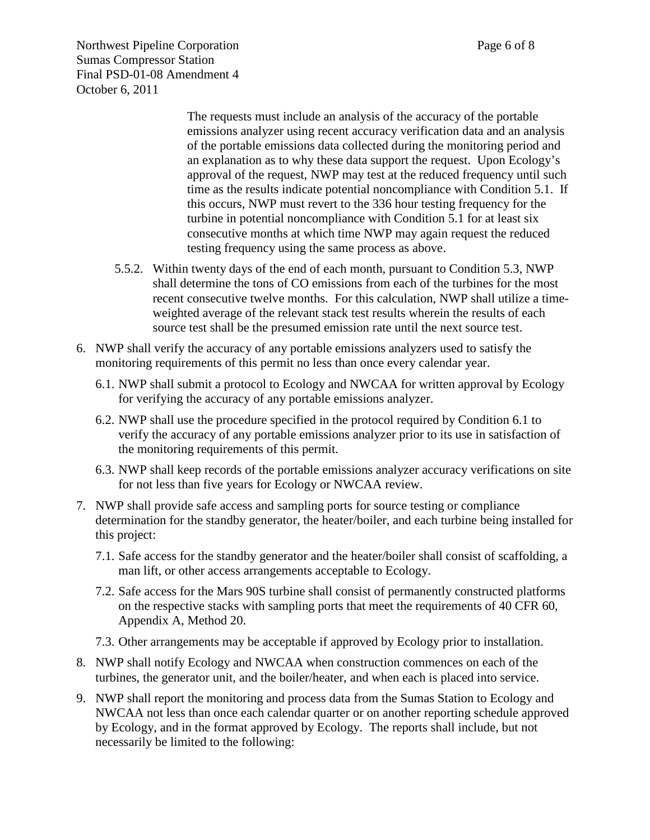The requests must include an analysis of the accuracy of the portable emissions analyzer using recent accuracy verification data and an analysis of the portable emissions data collected during the monitoring period and an explanation as to why these data support the request. Upon Ecology's approval of the request, NWP may test at the reduced frequency until such time as the results indicate potential noncompliance with Condition [5.1.](#page-13-1) If this occurs, NWP must revert to the 336 hour testing frequency for the turbine in potential noncompliance with Condition [5.1](#page-13-1) for at least six consecutive months at which time NWP may again request the reduced testing frequency using the same process as above.

- 5.5.2. Within twenty days of the end of each month, pursuant to Condition [5.3,](#page-14-1) NWP shall determine the tons of CO emissions from each of the turbines for the most recent consecutive twelve months. For this calculation, NWP shall utilize a timeweighted average of the relevant stack test results wherein the results of each source test shall be the presumed emission rate until the next source test.
- <span id="page-15-1"></span><span id="page-15-0"></span>6. NWP shall verify the accuracy of any portable emissions analyzers used to satisfy the monitoring requirements of this permit no less than once every calendar year.
	- 6.1. NWP shall submit a protocol to Ecology and NWCAA for written approval by Ecology for verifying the accuracy of any portable emissions analyzer.
	- 6.2. NWP shall use the procedure specified in the protocol required by Condition [6.1](#page-15-1) to verify the accuracy of any portable emissions analyzer prior to its use in satisfaction of the monitoring requirements of this permit.
	- 6.3. NWP shall keep records of the portable emissions analyzer accuracy verifications on site for not less than five years for Ecology or NWCAA review.
- 7. NWP shall provide safe access and sampling ports for source testing or compliance determination for the standby generator, the heater/boiler, and each turbine being installed for this project:
	- 7.1. Safe access for the standby generator and the heater/boiler shall consist of scaffolding, a man lift, or other access arrangements acceptable to Ecology.
	- 7.2. Safe access for the Mars 90S turbine shall consist of permanently constructed platforms on the respective stacks with sampling ports that meet the requirements of 40 CFR 60, Appendix A, Method 20.
	- 7.3. Other arrangements may be acceptable if approved by Ecology prior to installation.
- 8. NWP shall notify Ecology and NWCAA when construction commences on each of the turbines, the generator unit, and the boiler/heater, and when each is placed into service.
- 9. NWP shall report the monitoring and process data from the Sumas Station to Ecology and NWCAA not less than once each calendar quarter or on another reporting schedule approved by Ecology, and in the format approved by Ecology. The reports shall include, but not necessarily be limited to the following: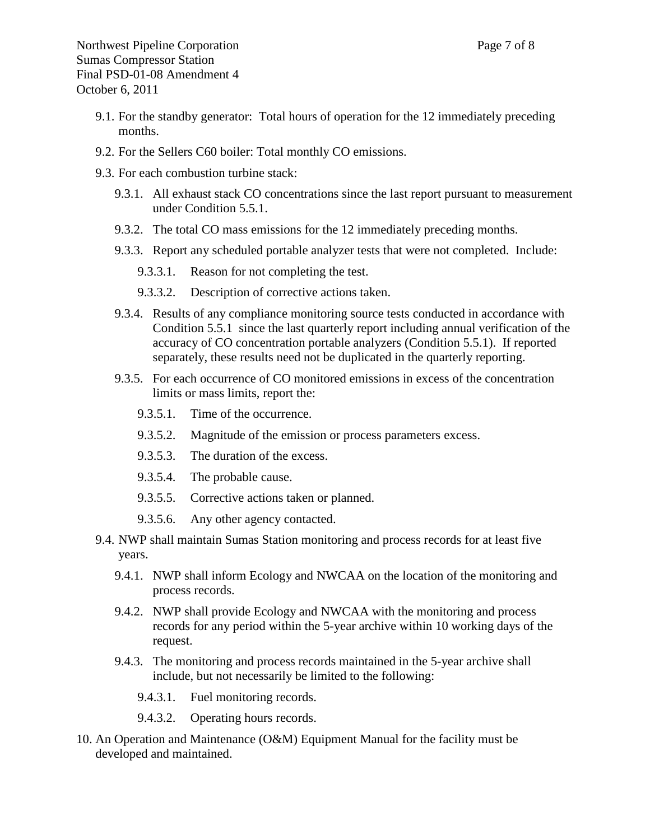- 9.1. For the standby generator: Total hours of operation for the 12 immediately preceding months.
- <span id="page-16-0"></span>9.2. For the Sellers C60 boiler: Total monthly CO emissions.
- 9.3. For each combustion turbine stack:
	- 9.3.1. All exhaust stack CO concentrations since the last report pursuant to measurement under Condition [5.5.1.](#page-14-2)
	- 9.3.2. The total CO mass emissions for the 12 immediately preceding months.
	- 9.3.3. Report any scheduled portable analyzer tests that were not completed. Include:
		- 9.3.3.1. Reason for not completing the test.
		- 9.3.3.2. Description of corrective actions taken.
	- 9.3.4. Results of any compliance monitoring source tests conducted in accordance with Condition [5.5.1](#page-14-2) since the last quarterly report including annual verification of the accuracy of CO concentration portable analyzers (Condition [5.5.1\)](#page-14-2). If reported separately, these results need not be duplicated in the quarterly reporting.
	- 9.3.5. For each occurrence of CO monitored emissions in excess of the concentration limits or mass limits, report the:
		- 9.3.5.1. Time of the occurrence.
		- 9.3.5.2. Magnitude of the emission or process parameters excess.
		- 9.3.5.3. The duration of the excess.
		- 9.3.5.4. The probable cause.
		- 9.3.5.5. Corrective actions taken or planned.
		- 9.3.5.6. Any other agency contacted.
- 9.4. NWP shall maintain Sumas Station monitoring and process records for at least five years.
	- 9.4.1. NWP shall inform Ecology and NWCAA on the location of the monitoring and process records.
	- 9.4.2. NWP shall provide Ecology and NWCAA with the monitoring and process records for any period within the 5-year archive within 10 working days of the request.
	- 9.4.3. The monitoring and process records maintained in the 5-year archive shall include, but not necessarily be limited to the following:
		- 9.4.3.1. Fuel monitoring records.
		- 9.4.3.2. Operating hours records.
- 10. An Operation and Maintenance (O&M) Equipment Manual for the facility must be developed and maintained.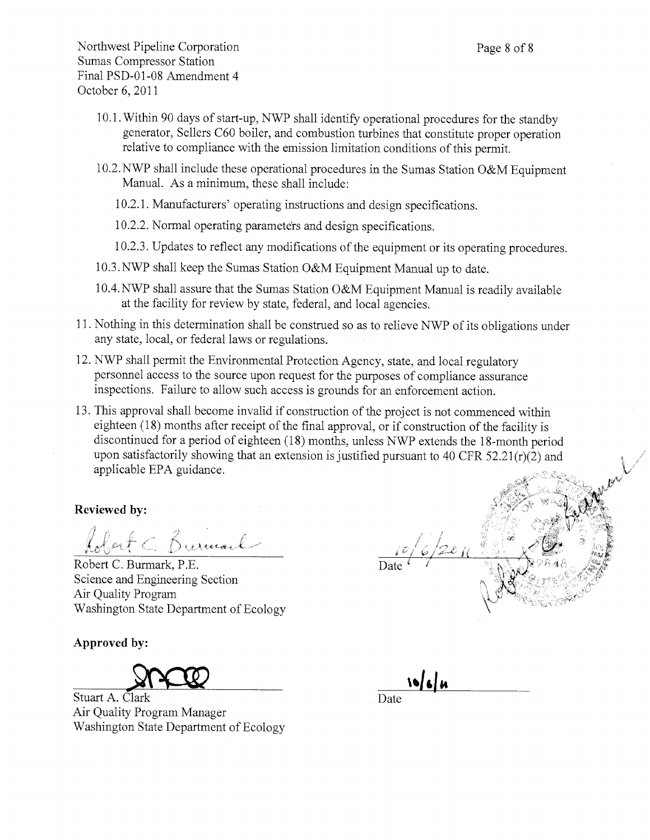- 10.1. Within 90 days of start-up, NWP shall identify operational procedures for the standby generator, Sellers C60 boiler, and combustion turbines that constitute proper operation relative to compliance with the emission limitation conditions of this permit.
- 10.2. NWP shall include these operational procedures in the Sumas Station O&M Equipment Manual. As a minimum, these shall include:
	- 10.2.1. Manufacturers' operating instructions and design specifications.
	- 10.2.2. Normal operating parameters and design specifications.
	- 10.2.3. Updates to reflect any modifications of the equipment or its operating procedures.
- 10.3. NWP shall keep the Sumas Station O&M Equipment Manual up to date.
- 10.4. NWP shall assure that the Sumas Station O&M Equipment Manual is readily available at the facility for review by state, federal, and local agencies.
- 11. Nothing in this determination shall be construed so as to relieve NWP of its obligations under any state, local, or federal laws or regulations.
- 12. NWP shall permit the Environmental Protection Agency, state, and local regulatory personnel access to the source upon request for the purposes of compliance assurance inspections. Failure to allow such access is grounds for an enforcement action.
- 13. This approval shall become invalid if construction of the project is not commenced within eighteen (18) months after receipt of the final approval, or if construction of the facility is discontinued for a period of eighteen (18) months, unless NWP extends the 18-month period upon satisfactorily showing that an extension is justified pursuant to 40 CFR 52.21(r)(2) and applicable EPA guidance.

## **Reviewed by:**

Robert C. Burmail

Robert C. Burmark, P.E. Science and Engineering Section Air Quality Program Washington State Department of Ecology

Approved by:

Stuart A. Clark Air Quality Program Manager Washington State Department of Ecology

 $1066u$ Date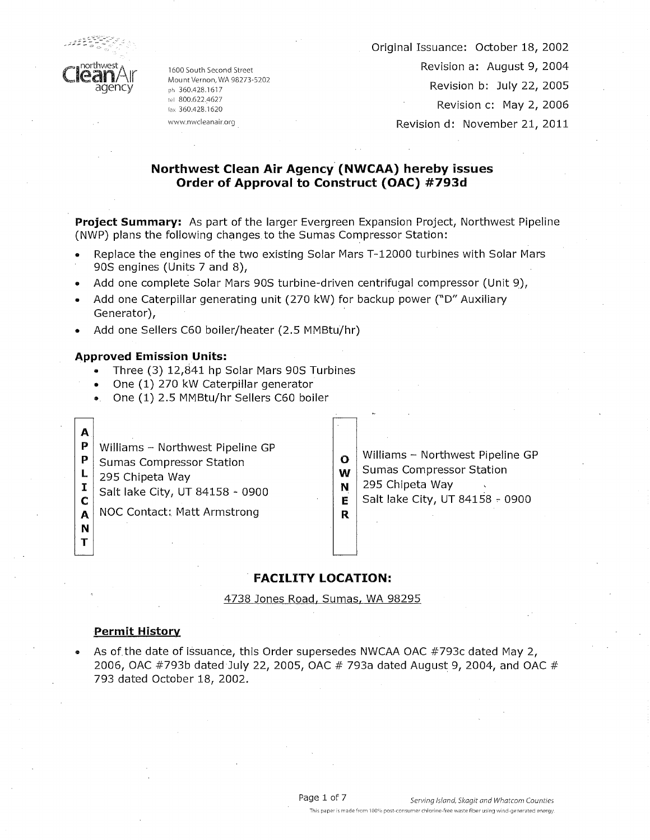

1600 South Second Street Mount Vernon, WA 98273-5202 ph 360.428.1617 tel 800.622.4627 fax 360.428.1620 www.nwcleanair.org

Original Issuance: October 18, 2002

Revision a: August 9, 2004

Revision b: July 22, 2005

Revision c: May 2, 2006

Revision d: November 21, 2011

## Northwest Clean Air Agency (NWCAA) hereby issues Order of Approval to Construct (OAC) #793d

Project Summary: As part of the larger Evergreen Expansion Project, Northwest Pipeline (NWP) plans the following changes to the Sumas Compressor Station:

- Replace the engines of the two existing Solar Mars T-12000 turbines with Solar Mars 90S engines (Units 7 and 8),
- Add one complete Solar Mars 90S turbine-driven centrifugal compressor (Unit 9),
- Add one Caterpillar generating unit (270 kW) for backup power ("D" Auxiliary Generator),
- Add one Sellers C60 boiler/heater (2.5 MMBtu/hr)

#### **Approved Emission Units:**

- Three (3) 12,841 hp Solar Mars 90S Turbines
- One (1) 270 kW Caterpillar generator
- One (1) 2.5 MMBtu/hr Sellers C60 boiler
- P Williams - Northwest Pipeline GP
- P **Sumas Compressor Station**
- L 295 Chipeta Way  $\mathbf{I}$

 $\mathbf{A}$ 

 $\mathbf C$ 

 $\mathbf{A}$ N T Salt lake City, UT 84158 - 0900

**NOC Contact: Matt Armstrong** 

- Williams Northwest Pipeline GP  $\mathbf{o}$ **Sumas Compressor Station** W
- 295 Chipeta Way N
- Salt lake City, UT 84158 0900 E

## **FACILITY LOCATION:**

 $\mathsf{R}$ 

4738 Jones Road, Sumas, WA 98295

#### **Permit History**

As of the date of issuance, this Order supersedes NWCAA OAC #793c dated May 2, 2006, OAC #793b dated July 22, 2005, OAC #793a dated August 9, 2004, and OAC # 793 dated October 18, 2002.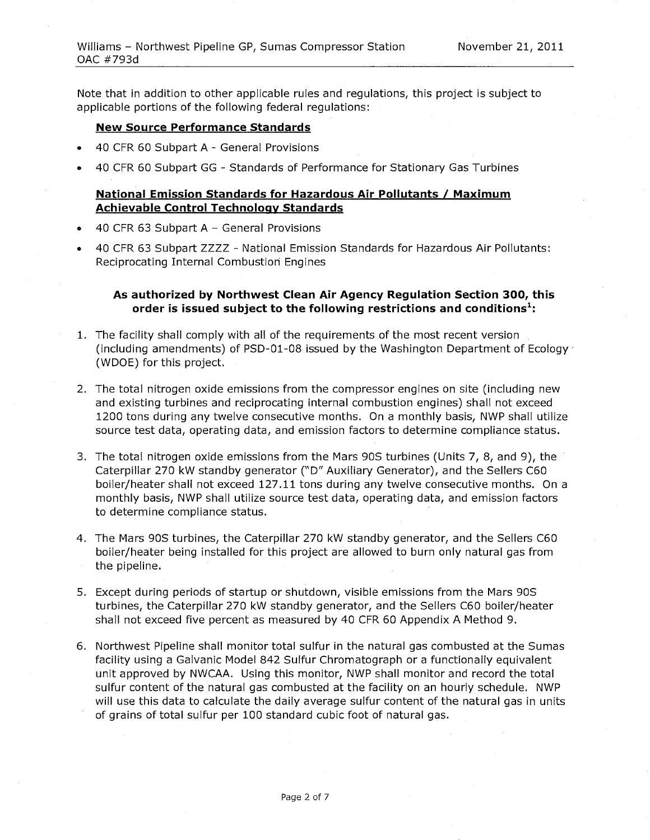Note that in addition to other applicable rules and regulations, this project is subject to applicable portions of the following federal regulations:

#### **New Source Performance Standards**

- 40 CFR 60 Subpart A General Provisions
- 40 CFR 60 Subpart GG Standards of Performance for Stationary Gas Turbines

### National Emission Standards for Hazardous Air Pollutants / Maximum **Achievable Control Technology Standards**

- 40 CFR 63 Subpart A General Provisions
- 40 CFR 63 Subpart ZZZZ National Emission Standards for Hazardous Air Pollutants: Reciprocating Internal Combustion Engines

## As authorized by Northwest Clean Air Agency Regulation Section 300, this order is issued subject to the following restrictions and conditions<sup>1</sup>:

- 1. The facility shall comply with all of the requirements of the most recent version (including amendments) of PSD-01-08 issued by the Washington Department of Ecology (WDOE) for this project.
- 2. The total nitrogen oxide emissions from the compressor engines on site (including new and existing turbines and reciprocating internal combustion engines) shall not exceed 1200 tons during any twelve consecutive months. On a monthly basis, NWP shall utilize source test data, operating data, and emission factors to determine compliance status.
- 3. The total nitrogen oxide emissions from the Mars 90S turbines (Units 7, 8, and 9), the Caterpillar 270 kW standby generator ("D" Auxiliary Generator), and the Sellers C60 boiler/heater shall not exceed 127.11 tons during any twelve consecutive months. On a monthly basis, NWP shall utilize source test data, operating data, and emission factors to determine compliance status.
- 4. The Mars 90S turbines, the Caterpillar 270 kW standby generator, and the Sellers C60 boiler/heater being installed for this project are allowed to burn only natural gas from the pipeline.
- 5. Except during periods of startup or shutdown, visible emissions from the Mars 90S turbines, the Caterpillar 270 kW standby generator, and the Sellers C60 boiler/heater shall not exceed five percent as measured by 40 CFR 60 Appendix A Method 9.
- 6. Northwest Pipeline shall monitor total sulfur in the natural gas combusted at the Sumas facility using a Galvanic Model 842 Sulfur Chromatograph or a functionally equivalent. unit approved by NWCAA. Using this monitor, NWP shall monitor and record the total sulfur content of the natural gas combusted at the facility on an hourly schedule. NWP will use this data to calculate the daily average sulfur content of the natural gas in units of grains of total sulfur per 100 standard cubic foot of natural gas.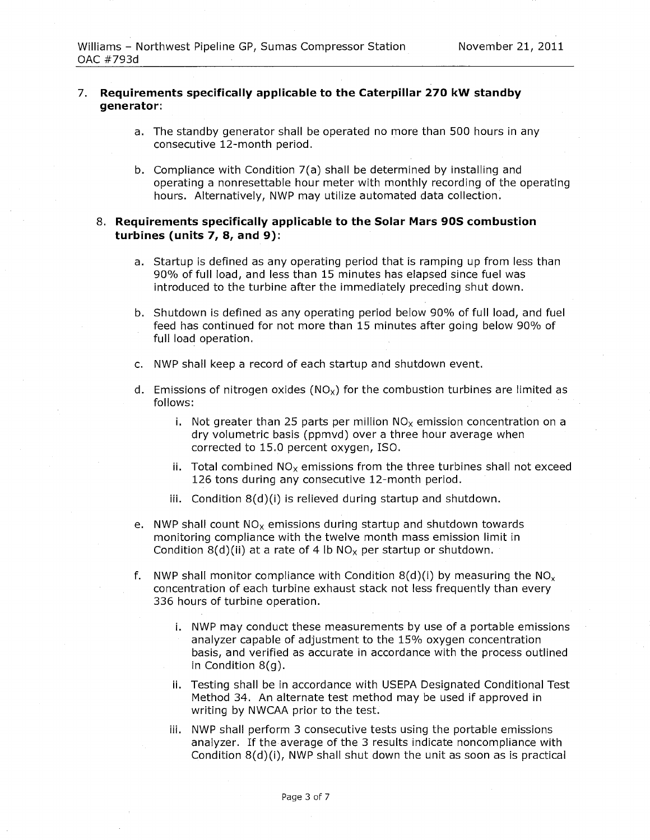#### 7. Requirements specifically applicable to the Caterpillar 270 kW standby generator:

- a. The standby generator shall be operated no more than 500 hours in any consecutive 12-month period.
- b. Compliance with Condition 7(a) shall be determined by installing and operating a nonresettable hour meter with monthly recording of the operating hours. Alternatively, NWP may utilize automated data collection.

## 8. Requirements specifically applicable to the Solar Mars 90S combustion turbines (units 7, 8, and 9):

- a. Startup is defined as any operating period that is ramping up from less than 90% of full load, and less than 15 minutes has elapsed since fuel was introduced to the turbine after the immediately preceding shut down.
- b. Shutdown is defined as any operating period below 90% of full load, and fuel feed has continued for not more than 15 minutes after going below 90% of full load operation.
- c. NWP shall keep a record of each startup and shutdown event,
- d. Emissions of nitrogen oxides  $(NO<sub>x</sub>)$  for the combustion turbines are limited as follows:
	- i. Not greater than 25 parts per million  $NO<sub>x</sub>$  emission concentration on a dry volumetric basis (ppmvd) over a three hour average when corrected to 15.0 percent oxygen, ISO.
	- ii. Total combined  $NO<sub>x</sub>$  emissions from the three turbines shall not exceed 126 tons during any consecutive 12-month period.
	- iii. Condition 8(d)(i) is relieved during startup and shutdown.
- e. NWP shall count  $NO<sub>x</sub>$  emissions during startup and shutdown towards monitoring compliance with the twelve month mass emission limit in Condition 8(d)(ii) at a rate of 4 lb  $NO<sub>x</sub>$  per startup or shutdown.
- f. NWP shall monitor compliance with Condition 8(d)(i) by measuring the  $NO_x$ concentration of each turbine exhaust stack not less frequently than every 336 hours of turbine operation.
	- i. NWP may conduct these measurements by use of a portable emissions analyzer capable of adjustment to the 15% oxygen concentration basis, and verified as accurate in accordance with the process outlined in Condition 8(g).
	- ii. Testing shall be in accordance with USEPA Designated Conditional Test Method 34. An alternate test method may be used if approved in writing by NWCAA prior to the test.
	- iii. NWP shall perform 3 consecutive tests using the portable emissions analyzer. If the average of the 3 results indicate noncompliance with Condition 8(d)(i), NWP shall shut down the unit as soon as is practical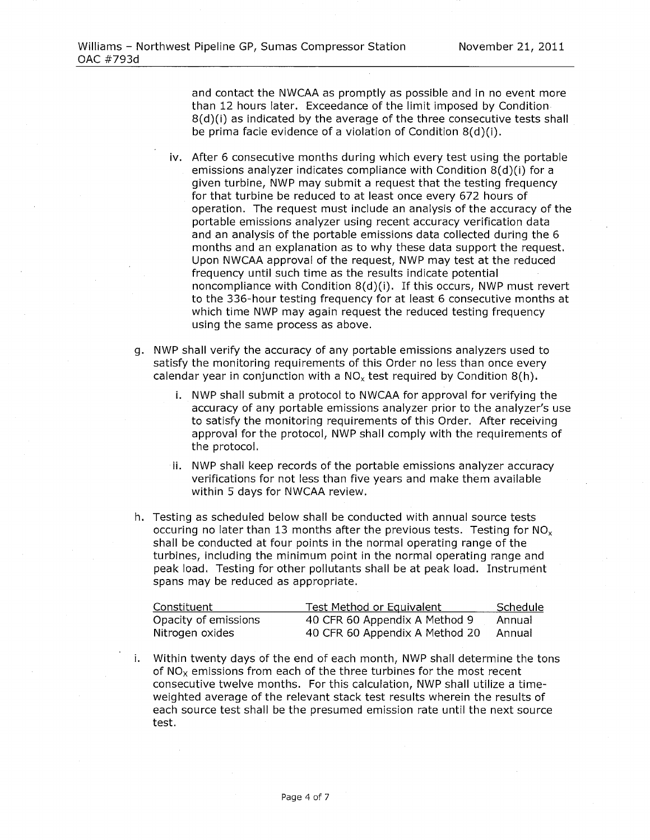and contact the NWCAA as promptly as possible and in no event more than 12 hours later. Exceedance of the limit imposed by Condition 8(d)(i) as indicated by the average of the three consecutive tests shall be prima facie evidence of a violation of Condition  $8(d)(i)$ .

- iv. After 6 consecutive months during which every test using the portable emissions analyzer indicates compliance with Condition 8(d)(i) for a given turbine, NWP may submit a request that the testing frequency for that turbine be reduced to at least once every 672 hours of operation. The request must include an analysis of the accuracy of the portable emissions analyzer using recent accuracy verification data and an analysis of the portable emissions data collected during the 6 months and an explanation as to why these data support the request. Upon NWCAA approval of the request, NWP may test at the reduced frequency until such time as the results indicate potential noncompliance with Condition 8(d)(i). If this occurs, NWP must revert to the 336-hour testing frequency for at least 6 consecutive months at which time NWP may again request the reduced testing frequency using the same process as above.
- g. NWP shall verify the accuracy of any portable emissions analyzers used to satisfy the monitoring requirements of this Order no less than once every calendar year in conjunction with a  $NO<sub>x</sub>$  test required by Condition 8(h).
	- i. NWP shall submit a protocol to NWCAA for approval for verifying the accuracy of any portable emissions analyzer prior to the analyzer's use to satisfy the monitoring requirements of this Order. After receiving approval for the protocol, NWP shall comply with the requirements of the protocol.
	- ii. NWP shall keep records of the portable emissions analyzer accuracy verifications for not less than five years and make them available within 5 days for NWCAA review.
- h. Testing as scheduled below shall be conducted with annual source tests occuring no later than 13 months after the previous tests. Testing for  $NO_x$ shall be conducted at four points in the normal operating range of the turbines, including the minimum point in the normal operating range and peak load. Testing for other pollutants shall be at peak load. Instrument spans may be reduced as appropriate.

| Constituent          | Test Method or Equivalent      | Schedule |
|----------------------|--------------------------------|----------|
| Opacity of emissions | 40 CFR 60 Appendix A Method 9  | Annual   |
| Nitrogen oxides      | 40 CFR 60 Appendix A Method 20 | Annual   |

Within twenty days of the end of each month, NWP shall determine the tons of  $NO<sub>x</sub>$  emissions from each of the three turbines for the most recent consecutive twelve months. For this calculation, NWP shall utilize a timeweighted average of the relevant stack test results wherein the results of each source test shall be the presumed emission rate until the next source test.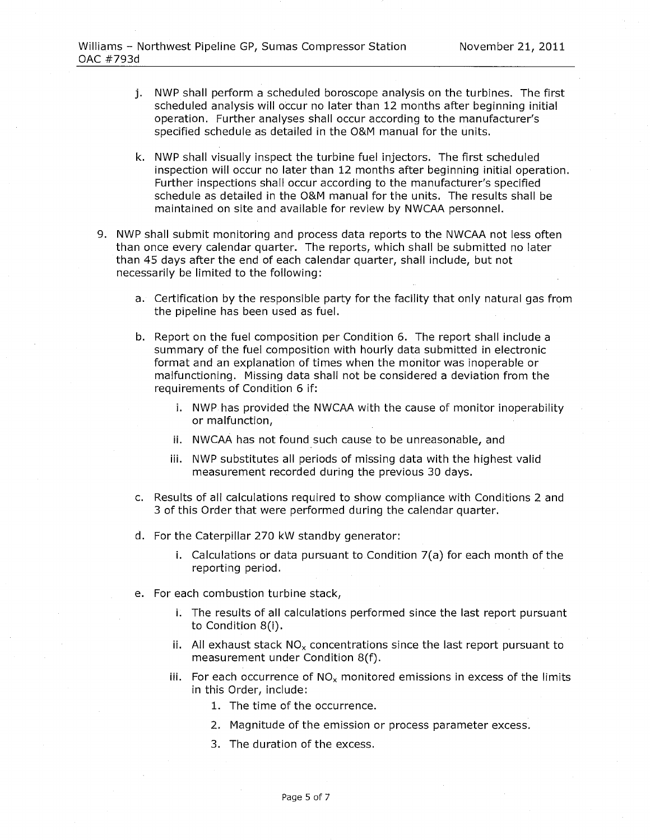- j. NWP shall perform a scheduled boroscope analysis on the turbines. The first scheduled analysis will occur no later than 12 months after beginning initial operation. Further analyses shall occur according to the manufacturer's specified schedule as detailed in the O&M manual for the units.
- k. NWP shall visually inspect the turbine fuel injectors. The first scheduled inspection will occur no later than 12 months after beginning initial operation. Further inspections shall occur according to the manufacturer's specified schedule as detailed in the O&M manual for the units. The results shall be maintained on site and available for review by NWCAA personnel.
- 9. NWP shall submit monitoring and process data reports to the NWCAA not less often than once every calendar quarter. The reports, which shall be submitted no later than 45 days after the end of each calendar quarter, shall include, but not necessarily be limited to the following:
	- a. Certification by the responsible party for the facility that only natural gas from the pipeline has been used as fuel.
	- b. Report on the fuel composition per Condition 6. The report shall include a summary of the fuel composition with hourly data submitted in electronic format and an explanation of times when the monitor was inoperable or malfunctioning. Missing data shall not be considered a deviation from the requirements of Condition 6 if:
		- i. NWP has provided the NWCAA with the cause of monitor inoperability or malfunction,
		- ii. NWCAA has not found such cause to be unreasonable, and
		- iii. NWP substitutes all periods of missing data with the highest valid measurement recorded during the previous 30 days.
	- c. Results of all calculations required to show compliance with Conditions 2 and 3 of this Order that were performed during the calendar quarter.
	- d. For the Caterpillar 270 kW standby generator:
		- i. Calculations or data pursuant to Condition 7(a) for each month of the reporting period.
	- e. For each combustion turbine stack,
		- i. The results of all calculations performed since the last report pursuant to Condition 8(i).
		- ii. All exhaust stack  $NO<sub>x</sub>$  concentrations since the last report pursuant to measurement under Condition 8(f).
		- iii. For each occurrence of NO<sub>x</sub> monitored emissions in excess of the limits in this Order, include:
			- 1. The time of the occurrence.
			- 2. Magnitude of the emission or process parameter excess.
			- 3. The duration of the excess.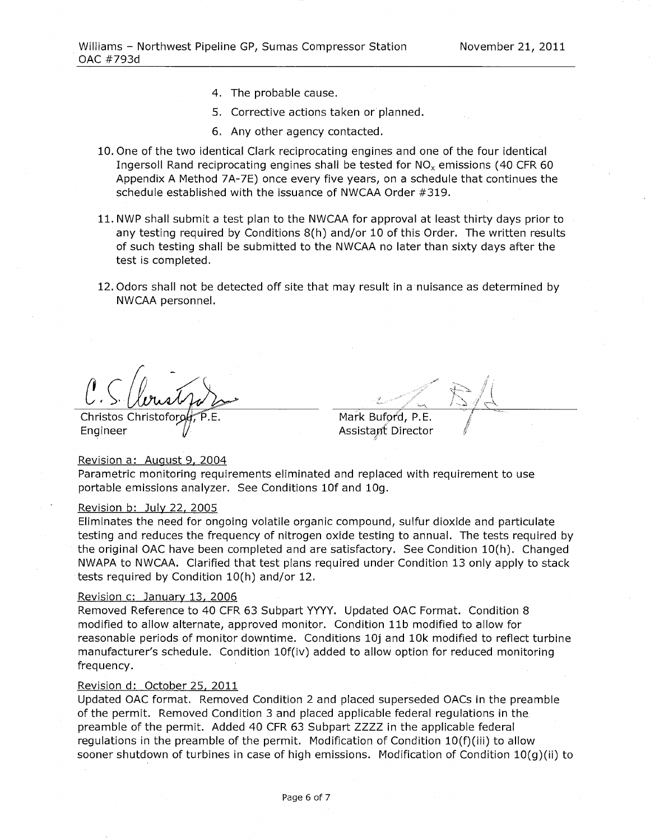- 4. The probable cause.
- 5. Corrective actions taken or planned.
- 6. Any other agency contacted.
- 10. One of the two identical Clark reciprocating engines and one of the four identical Ingersoll Rand reciprocating engines shall be tested for NO<sub>x</sub> emissions (40 CFR 60) Appendix A Method 7A-7E) once every five years, on a schedule that continues the schedule established with the issuance of NWCAA Order #319.
- 11. NWP shall submit a test plan to the NWCAA for approval at least thirty days prior to any testing required by Conditions 8(h) and/or 10 of this Order. The written results of such testing shall be submitted to the NWCAA no later than sixty days after the test is completed.
- 12. Odors shall not be detected off site that may result in a nuisance as determined by NWCAA personnel.

Christos Christoford Engineer

Mark Buford, P.E.

Assistant Director

#### Revision a: August 9, 2004

Parametric monitoring requirements eliminated and replaced with requirement to use portable emissions analyzer. See Conditions 10f and 10g.

#### Revision b: July 22, 2005

Eliminates the need for ongoing volatile organic compound, sulfur dioxide and particulate testing and reduces the frequency of nitrogen oxide testing to annual. The tests required by the original OAC have been completed and are satisfactory. See Condition 10(h). Changed NWAPA to NWCAA. Clarified that test plans required under Condition 13 only apply to stack tests required by Condition 10(h) and/or 12.

#### Revision c: January 13, 2006

Removed Reference to 40 CFR 63 Subpart YYYY. Updated OAC Format. Condition 8 modified to allow alternate, approved monitor. Condition 11b modified to allow for reasonable periods of monitor downtime. Conditions 10j and 10k modified to reflect turbine manufacturer's schedule. Condition 10f(iv) added to allow option for reduced monitoring frequency.

#### Revision d: October 25, 2011

Updated OAC format. Removed Condition 2 and placed superseded OACs in the preamble of the permit. Removed Condition 3 and placed applicable federal regulations in the preamble of the permit. Added 40 CFR 63 Subpart ZZZZ in the applicable federal regulations in the preamble of the permit. Modification of Condition 10(f)(iii) to allow sooner shutdown of turbines in case of high emissions. Modification of Condition  $10(q)(ii)$  to